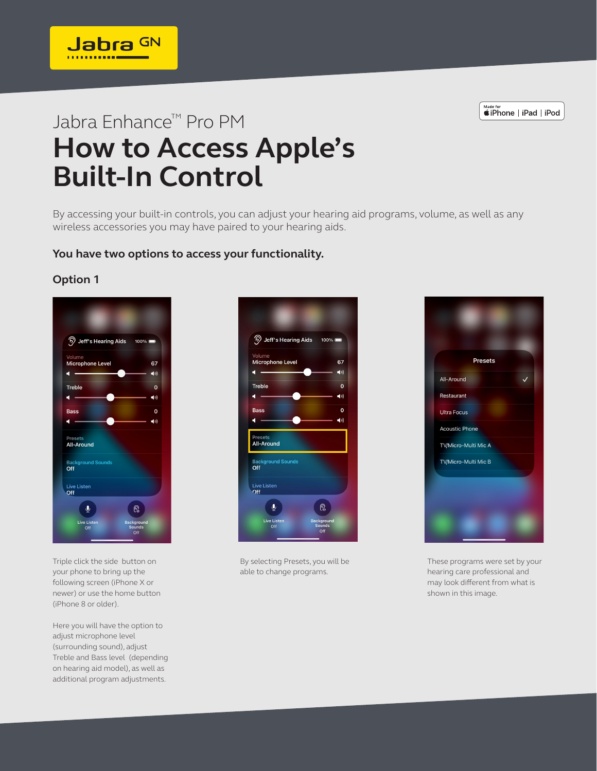*«iPhone* | iPad | iPod

## Jabra Enhance™ Pro PM **How to Access Apple's Built-In Control**

By accessing your built-in controls, you can adjust your hearing aid programs, volume, as well as any wireless accessories you may have paired to your hearing aids.

**You have two options to access your functionality.**

## **Option 1**



Jabra GN

Triple click the side button on your phone to bring up the following screen (iPhone X or newer) or use the home button (iPhone 8 or older).

Here you will have the option to adjust microphone level (surrounding sound), adjust Treble and Bass level (depending on hearing aid model), as well as additional program adjustments.



By selecting Presets, you will be able to change programs.



These programs were set by your hearing care professional and may look different from what is shown in this image.